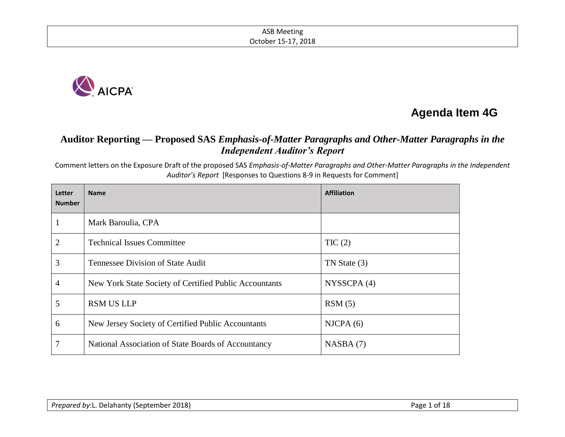

# **Agenda Item 4G**

# **Auditor Reporting — Proposed SAS** *Emphasis-of-Matter Paragraphs and Other-Matter Paragraphs in the Independent Auditor's Report*

Comment letters on the Exposure Draft of the proposed SAS *Emphasis-of-Matter Paragraphs and Other-Matter Paragraphs in the Independent Auditor's Report* [Responses to Questions 8-9 in Requests for Comment]

| Letter<br><b>Number</b> | <b>Name</b>                                            | <b>Affiliation</b> |
|-------------------------|--------------------------------------------------------|--------------------|
| 1                       | Mark Baroulia, CPA                                     |                    |
| 2                       | <b>Technical Issues Committee</b>                      | TIC(2)             |
| 3                       | Tennessee Division of State Audit                      | TN State (3)       |
| 4                       | New York State Society of Certified Public Accountants | NYSSCPA (4)        |
| 5                       | <b>RSM US LLP</b>                                      | RSM(5)             |
| 6                       | New Jersey Society of Certified Public Accountants     | NICPA(6)           |
| 7                       | National Association of State Boards of Accountancy    | NASBA(7)           |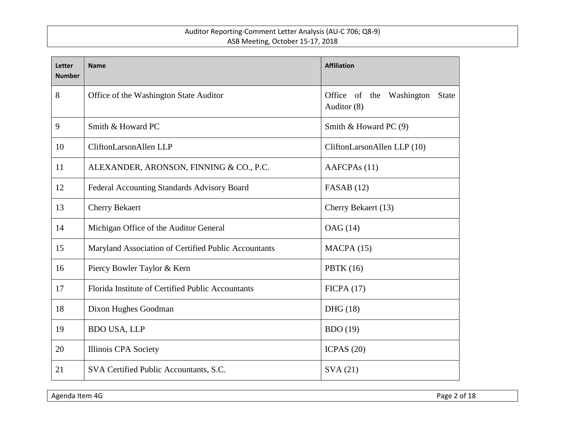| <b>Letter</b><br><b>Number</b> | <b>Name</b>                                          | <b>Affiliation</b>                                         |  |
|--------------------------------|------------------------------------------------------|------------------------------------------------------------|--|
| 8                              | Office of the Washington State Auditor               | Office of the<br>Washington<br><b>State</b><br>Auditor (8) |  |
| 9                              | Smith & Howard PC                                    | Smith & Howard PC (9)                                      |  |
| 10                             | CliftonLarsonAllen LLP                               | CliftonLarsonAllen LLP (10)                                |  |
| 11                             | ALEXANDER, ARONSON, FINNING & CO., P.C.              | AAFCPAs (11)                                               |  |
| 12                             | Federal Accounting Standards Advisory Board          | FASAB $(12)$                                               |  |
| 13                             | <b>Cherry Bekaert</b>                                | Cherry Bekaert (13)                                        |  |
| 14                             | Michigan Office of the Auditor General               | OAG (14)                                                   |  |
| 15                             | Maryland Association of Certified Public Accountants | MACPA(15)                                                  |  |
| 16                             | Piercy Bowler Taylor & Kern                          | PBTK $(16)$                                                |  |
| 17                             | Florida Institute of Certified Public Accountants    | FICPA(17)                                                  |  |
| 18                             | Dixon Hughes Goodman                                 | DHG(18)                                                    |  |
| 19                             | <b>BDO USA, LLP</b>                                  | <b>BDO</b> (19)                                            |  |
| 20                             | Illinois CPA Society                                 | ICPAS $(20)$                                               |  |
| 21                             | SVA Certified Public Accountants, S.C.               | SVA(21)                                                    |  |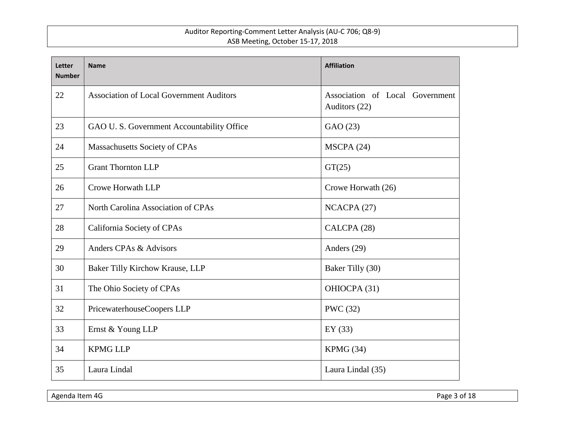| Letter<br><b>Number</b> | <b>Name</b>                                     | <b>Affiliation</b>                               |  |
|-------------------------|-------------------------------------------------|--------------------------------------------------|--|
| 22                      | <b>Association of Local Government Auditors</b> | Association of Local Government<br>Auditors (22) |  |
| 23                      | GAO U. S. Government Accountability Office      | GAO (23)                                         |  |
| 24                      | Massachusetts Society of CPAs                   | MSCPA (24)                                       |  |
| 25                      | <b>Grant Thornton LLP</b>                       | GT(25)                                           |  |
| 26                      | Crowe Horwath LLP                               | Crowe Horwath (26)                               |  |
| 27                      | North Carolina Association of CPAs              | NCACPA(27)                                       |  |
| 28                      | California Society of CPAs                      | CALCPA (28)                                      |  |
| 29                      | Anders CPAs & Advisors                          | Anders (29)                                      |  |
| 30                      | Baker Tilly Kirchow Krause, LLP                 | Baker Tilly (30)                                 |  |
| 31                      | The Ohio Society of CPAs                        | OHIOCPA (31)                                     |  |
| 32                      | PricewaterhouseCoopers LLP                      | <b>PWC</b> (32)                                  |  |
| 33                      | Ernst & Young LLP                               | EY(33)                                           |  |
| 34                      | <b>KPMG LLP</b>                                 | KPMG(34)                                         |  |
| 35                      | Laura Lindal                                    | Laura Lindal (35)                                |  |

Agenda Item 4G Page 3 of 18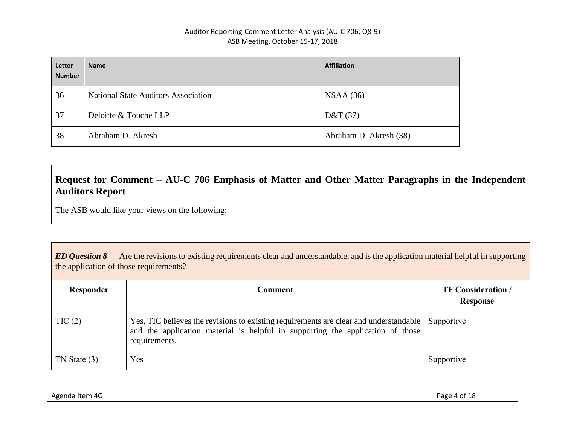| Letter<br><b>Number</b> | <b>Name</b>                                | <b>Affiliation</b>     |
|-------------------------|--------------------------------------------|------------------------|
| 36                      | <b>National State Auditors Association</b> | NSAA(36)               |
| 37                      | Deloitte & Touche LLP                      | D&T(37)                |
| 38                      | Abraham D. Akresh                          | Abraham D. Akresh (38) |

# **Request for Comment – AU-C 706 Emphasis of Matter and Other Matter Paragraphs in the Independent Auditors Report**

The ASB would like your views on the following:

| $ED$ Question $8$ — Are the revisions to existing requirements clear and understandable, and is the application material helpful in supporting<br>the application of those requirements? |                                                                                                                                                                                          |                                       |  |
|------------------------------------------------------------------------------------------------------------------------------------------------------------------------------------------|------------------------------------------------------------------------------------------------------------------------------------------------------------------------------------------|---------------------------------------|--|
| Responder                                                                                                                                                                                | <b>Comment</b>                                                                                                                                                                           | <b>TF Consideration</b> /<br>Response |  |
| TIC(2)                                                                                                                                                                                   | Yes, TIC believes the revisions to existing requirements are clear and understandable<br>and the application material is helpful in supporting the application of those<br>requirements. | Supportive                            |  |
| $TN$ State $(3)$                                                                                                                                                                         | <b>Yes</b>                                                                                                                                                                               | Supportive                            |  |

| Agenda Item 4G | Page 4 of 18 |
|----------------|--------------|
|----------------|--------------|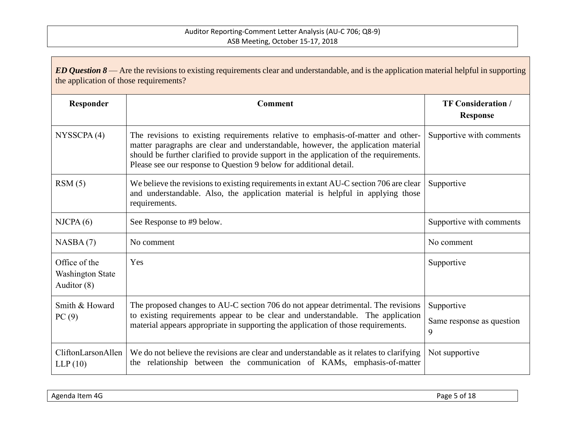| ED Question $8$ — Are the revisions to existing requirements clear and understandable, and is the application material helpful in supporting<br>the application of those requirements? |                                                                                                                                                                                                                                                                                                                                       |                                              |
|----------------------------------------------------------------------------------------------------------------------------------------------------------------------------------------|---------------------------------------------------------------------------------------------------------------------------------------------------------------------------------------------------------------------------------------------------------------------------------------------------------------------------------------|----------------------------------------------|
| Responder                                                                                                                                                                              | <b>Comment</b>                                                                                                                                                                                                                                                                                                                        | <b>TF Consideration /</b><br><b>Response</b> |
| NYSSCPA(4)                                                                                                                                                                             | The revisions to existing requirements relative to emphasis-of-matter and other-<br>matter paragraphs are clear and understandable, however, the application material<br>should be further clarified to provide support in the application of the requirements.<br>Please see our response to Question 9 below for additional detail. | Supportive with comments                     |
| RSM(5)                                                                                                                                                                                 | We believe the revisions to existing requirements in extant AU-C section 706 are clear<br>and understandable. Also, the application material is helpful in applying those<br>requirements.                                                                                                                                            | Supportive                                   |
| NICPA(6)                                                                                                                                                                               | See Response to #9 below.                                                                                                                                                                                                                                                                                                             | Supportive with comments                     |
| NASBA(7)                                                                                                                                                                               | No comment                                                                                                                                                                                                                                                                                                                            | No comment                                   |
| Office of the<br><b>Washington State</b><br>Auditor (8)                                                                                                                                | Yes                                                                                                                                                                                                                                                                                                                                   | Supportive                                   |
| Smith & Howard<br>PC(9)                                                                                                                                                                | The proposed changes to AU-C section 706 do not appear detrimental. The revisions<br>to existing requirements appear to be clear and understandable. The application<br>material appears appropriate in supporting the application of those requirements.                                                                             | Supportive<br>Same response as question<br>9 |
| CliftonLarsonAllen<br>LLP(10)                                                                                                                                                          | We do not believe the revisions are clear and understandable as it relates to clarifying<br>the relationship between the communication of KAMs, emphasis-of-matter                                                                                                                                                                    | Not supportive                               |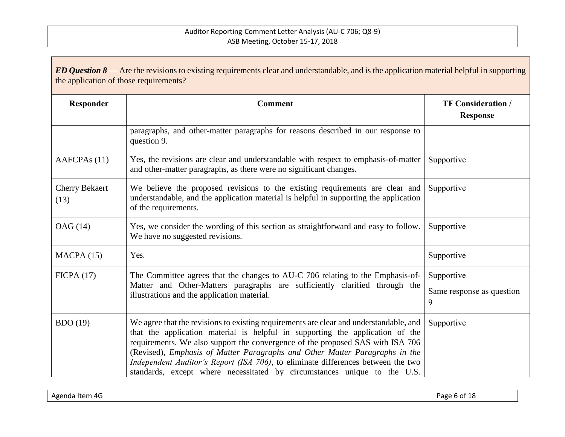| ED Question $8$ — Are the revisions to existing requirements clear and understandable, and is the application material helpful in supporting<br>the application of those requirements? |                                                                                                                                                                                                                                                                                                                                                                                                                                                                                                          |                                              |
|----------------------------------------------------------------------------------------------------------------------------------------------------------------------------------------|----------------------------------------------------------------------------------------------------------------------------------------------------------------------------------------------------------------------------------------------------------------------------------------------------------------------------------------------------------------------------------------------------------------------------------------------------------------------------------------------------------|----------------------------------------------|
| Responder                                                                                                                                                                              | <b>Comment</b>                                                                                                                                                                                                                                                                                                                                                                                                                                                                                           | <b>TF Consideration /</b><br><b>Response</b> |
|                                                                                                                                                                                        | paragraphs, and other-matter paragraphs for reasons described in our response to<br>question 9.                                                                                                                                                                                                                                                                                                                                                                                                          |                                              |
| AAFCPA <sub>s</sub> (11)                                                                                                                                                               | Yes, the revisions are clear and understandable with respect to emphasis-of-matter<br>and other-matter paragraphs, as there were no significant changes.                                                                                                                                                                                                                                                                                                                                                 | Supportive                                   |
| <b>Cherry Bekaert</b><br>(13)                                                                                                                                                          | We believe the proposed revisions to the existing requirements are clear and<br>understandable, and the application material is helpful in supporting the application<br>of the requirements.                                                                                                                                                                                                                                                                                                            | Supportive                                   |
| OAG (14)                                                                                                                                                                               | Yes, we consider the wording of this section as straightforward and easy to follow.<br>We have no suggested revisions.                                                                                                                                                                                                                                                                                                                                                                                   | Supportive                                   |
| MACPA(15)                                                                                                                                                                              | Yes.                                                                                                                                                                                                                                                                                                                                                                                                                                                                                                     | Supportive                                   |
| FICPA(17)                                                                                                                                                                              | The Committee agrees that the changes to AU-C 706 relating to the Emphasis-of-<br>Matter and Other-Matters paragraphs are sufficiently clarified through the<br>illustrations and the application material.                                                                                                                                                                                                                                                                                              | Supportive<br>Same response as question<br>9 |
| <b>BDO</b> (19)                                                                                                                                                                        | We agree that the revisions to existing requirements are clear and understandable, and<br>that the application material is helpful in supporting the application of the<br>requirements. We also support the convergence of the proposed SAS with ISA 706<br>(Revised), Emphasis of Matter Paragraphs and Other Matter Paragraphs in the<br>Independent Auditor's Report (ISA 706), to eliminate differences between the two<br>standards, except where necessitated by circumstances unique to the U.S. | Supportive                                   |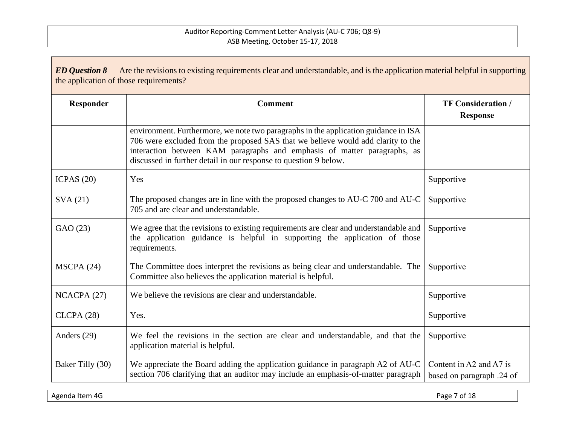| ED Question $8$ — Are the revisions to existing requirements clear and understandable, and is the application material helpful in supporting<br>the application of those requirements? |                                                                                                                                                                                                                                                                                                                         |                                                      |
|----------------------------------------------------------------------------------------------------------------------------------------------------------------------------------------|-------------------------------------------------------------------------------------------------------------------------------------------------------------------------------------------------------------------------------------------------------------------------------------------------------------------------|------------------------------------------------------|
| Responder                                                                                                                                                                              | <b>Comment</b>                                                                                                                                                                                                                                                                                                          | <b>TF Consideration /</b><br><b>Response</b>         |
|                                                                                                                                                                                        | environment. Furthermore, we note two paragraphs in the application guidance in ISA<br>706 were excluded from the proposed SAS that we believe would add clarity to the<br>interaction between KAM paragraphs and emphasis of matter paragraphs, as<br>discussed in further detail in our response to question 9 below. |                                                      |
| ICPAS $(20)$                                                                                                                                                                           | Yes                                                                                                                                                                                                                                                                                                                     | Supportive                                           |
| SVA(21)                                                                                                                                                                                | The proposed changes are in line with the proposed changes to AU-C 700 and AU-C<br>705 and are clear and understandable.                                                                                                                                                                                                | Supportive                                           |
| GAO (23)                                                                                                                                                                               | We agree that the revisions to existing requirements are clear and understandable and<br>the application guidance is helpful in supporting the application of those<br>requirements.                                                                                                                                    | Supportive                                           |
| MSCPA(24)                                                                                                                                                                              | The Committee does interpret the revisions as being clear and understandable. The<br>Committee also believes the application material is helpful.                                                                                                                                                                       | Supportive                                           |
| NCACPA (27)                                                                                                                                                                            | We believe the revisions are clear and understandable.                                                                                                                                                                                                                                                                  | Supportive                                           |
| CLCPA(28)                                                                                                                                                                              | Yes.                                                                                                                                                                                                                                                                                                                    | Supportive                                           |
| Anders (29)                                                                                                                                                                            | We feel the revisions in the section are clear and understandable, and that the<br>application material is helpful.                                                                                                                                                                                                     | Supportive                                           |
| Baker Tilly (30)                                                                                                                                                                       | We appreciate the Board adding the application guidance in paragraph A2 of AU-C<br>section 706 clarifying that an auditor may include an emphasis-of-matter paragraph                                                                                                                                                   | Content in A2 and A7 is<br>based on paragraph .24 of |

Agenda Item 4G Page 7 of 18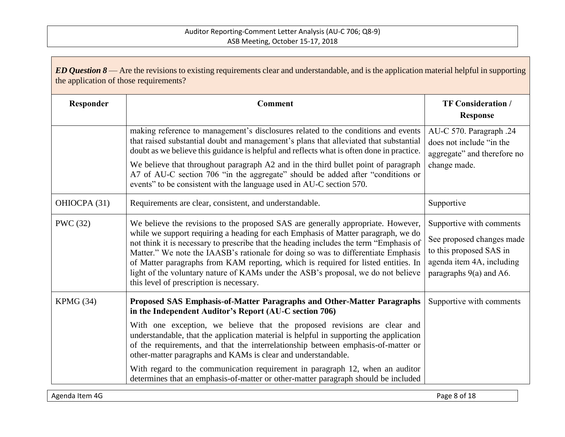| ED Question $8$ — Are the revisions to existing requirements clear and understandable, and is the application material helpful in supporting<br>the application of those requirements? |                                                                                                                                                                                                                                                                                                                                                                                                                                                                                                                                                                             |                                                                                                                                            |
|----------------------------------------------------------------------------------------------------------------------------------------------------------------------------------------|-----------------------------------------------------------------------------------------------------------------------------------------------------------------------------------------------------------------------------------------------------------------------------------------------------------------------------------------------------------------------------------------------------------------------------------------------------------------------------------------------------------------------------------------------------------------------------|--------------------------------------------------------------------------------------------------------------------------------------------|
| Responder                                                                                                                                                                              | <b>Comment</b>                                                                                                                                                                                                                                                                                                                                                                                                                                                                                                                                                              | <b>TF Consideration /</b><br><b>Response</b>                                                                                               |
|                                                                                                                                                                                        | making reference to management's disclosures related to the conditions and events<br>that raised substantial doubt and management's plans that alleviated that substantial<br>doubt as we believe this guidance is helpful and reflects what is often done in practice.                                                                                                                                                                                                                                                                                                     | AU-C 570. Paragraph .24<br>does not include "in the<br>aggregate" and therefore no                                                         |
|                                                                                                                                                                                        | We believe that throughout paragraph A2 and in the third bullet point of paragraph<br>A7 of AU-C section 706 "in the aggregate" should be added after "conditions or<br>events" to be consistent with the language used in AU-C section 570.                                                                                                                                                                                                                                                                                                                                | change made.                                                                                                                               |
| OHIOCPA (31)                                                                                                                                                                           | Requirements are clear, consistent, and understandable.                                                                                                                                                                                                                                                                                                                                                                                                                                                                                                                     | Supportive                                                                                                                                 |
| <b>PWC</b> (32)                                                                                                                                                                        | We believe the revisions to the proposed SAS are generally appropriate. However,<br>while we support requiring a heading for each Emphasis of Matter paragraph, we do<br>not think it is necessary to prescribe that the heading includes the term "Emphasis of<br>Matter." We note the IAASB's rationale for doing so was to differentiate Emphasis<br>of Matter paragraphs from KAM reporting, which is required for listed entities. In<br>light of the voluntary nature of KAMs under the ASB's proposal, we do not believe<br>this level of prescription is necessary. | Supportive with comments<br>See proposed changes made<br>to this proposed SAS in<br>agenda item 4A, including<br>paragraphs $9(a)$ and A6. |
| KPMG (34)                                                                                                                                                                              | Proposed SAS Emphasis-of-Matter Paragraphs and Other-Matter Paragraphs<br>in the Independent Auditor's Report (AU-C section 706)                                                                                                                                                                                                                                                                                                                                                                                                                                            | Supportive with comments                                                                                                                   |
|                                                                                                                                                                                        | With one exception, we believe that the proposed revisions are clear and<br>understandable, that the application material is helpful in supporting the application<br>of the requirements, and that the interrelationship between emphasis-of-matter or<br>other-matter paragraphs and KAMs is clear and understandable.                                                                                                                                                                                                                                                    |                                                                                                                                            |
|                                                                                                                                                                                        | With regard to the communication requirement in paragraph 12, when an auditor<br>determines that an emphasis-of-matter or other-matter paragraph should be included                                                                                                                                                                                                                                                                                                                                                                                                         |                                                                                                                                            |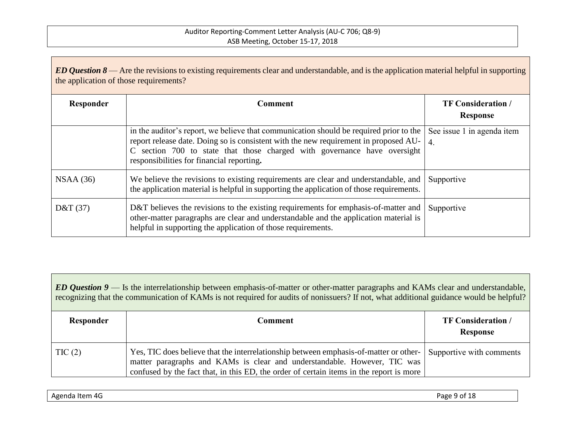| $ED$ Question $8$ — Are the revisions to existing requirements clear and understandable, and is the application material helpful in supporting<br>the application of those requirements? |                                                                                                                                                                                                                                                                                                         |                                                |
|------------------------------------------------------------------------------------------------------------------------------------------------------------------------------------------|---------------------------------------------------------------------------------------------------------------------------------------------------------------------------------------------------------------------------------------------------------------------------------------------------------|------------------------------------------------|
| Responder                                                                                                                                                                                | Comment                                                                                                                                                                                                                                                                                                 | <b>TF Consideration</b> /<br><b>Response</b>   |
|                                                                                                                                                                                          | in the auditor's report, we believe that communication should be required prior to the<br>report release date. Doing so is consistent with the new requirement in proposed AU-<br>C section 700 to state that those charged with governance have oversight<br>responsibilities for financial reporting. | See issue 1 in agenda item<br>$\overline{4}$ . |
| NSAA(36)                                                                                                                                                                                 | We believe the revisions to existing requirements are clear and understandable, and<br>the application material is helpful in supporting the application of those requirements.                                                                                                                         | Supportive                                     |
| D&T(37)                                                                                                                                                                                  | D&T believes the revisions to the existing requirements for emphasis-of-matter and<br>other-matter paragraphs are clear and understandable and the application material is<br>helpful in supporting the application of those requirements.                                                              | Supportive                                     |

*ED Question 9* — Is the interrelationship between emphasis-of-matter or other-matter paragraphs and KAMs clear and understandable, recognizing that the communication of KAMs is not required for audits of nonissuers? If not, what additional guidance would be helpful?

| Responder       | Comment                                                                                                                                                                                                                                                                               | <b>TF Consideration /</b><br>Response |
|-----------------|---------------------------------------------------------------------------------------------------------------------------------------------------------------------------------------------------------------------------------------------------------------------------------------|---------------------------------------|
| $\vert$ TIC (2) | Yes, TIC does believe that the interrelationship between emphasis-of-matter or other- Supportive with comments<br>matter paragraphs and KAMs is clear and understandable. However, TIC was<br>confused by the fact that, in this ED, the order of certain items in the report is more |                                       |

| Item 4G | Page 9 |
|---------|--------|
| Agenda  | of 18  |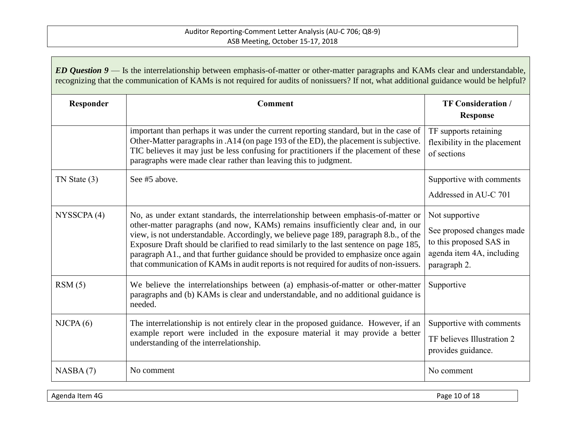| ED Question $9$ — Is the interrelationship between emphasis-of-matter or other-matter paragraphs and KAMs clear and understandable,<br>recognizing that the communication of KAMs is not required for audits of nonissuers? If not, what additional guidance would be helpful? |                                                                                                                                                                                                                                                                                                                                                                                                                                                                                                                                            |                                                                                                                     |  |  |
|--------------------------------------------------------------------------------------------------------------------------------------------------------------------------------------------------------------------------------------------------------------------------------|--------------------------------------------------------------------------------------------------------------------------------------------------------------------------------------------------------------------------------------------------------------------------------------------------------------------------------------------------------------------------------------------------------------------------------------------------------------------------------------------------------------------------------------------|---------------------------------------------------------------------------------------------------------------------|--|--|
| Responder                                                                                                                                                                                                                                                                      | <b>Comment</b>                                                                                                                                                                                                                                                                                                                                                                                                                                                                                                                             | <b>TF Consideration /</b><br><b>Response</b>                                                                        |  |  |
|                                                                                                                                                                                                                                                                                | important than perhaps it was under the current reporting standard, but in the case of<br>Other-Matter paragraphs in .A14 (on page 193 of the ED), the placement is subjective.<br>TIC believes it may just be less confusing for practitioners if the placement of these<br>paragraphs were made clear rather than leaving this to judgment.                                                                                                                                                                                              | TF supports retaining<br>flexibility in the placement<br>of sections                                                |  |  |
| $TN$ State $(3)$                                                                                                                                                                                                                                                               | See #5 above.                                                                                                                                                                                                                                                                                                                                                                                                                                                                                                                              |                                                                                                                     |  |  |
| NYSSCPA(4)                                                                                                                                                                                                                                                                     | No, as under extant standards, the interrelationship between emphasis-of-matter or<br>other-matter paragraphs (and now, KAMs) remains insufficiently clear and, in our<br>view, is not understandable. Accordingly, we believe page 189, paragraph 8.b., of the<br>Exposure Draft should be clarified to read similarly to the last sentence on page 185,<br>paragraph A1., and that further guidance should be provided to emphasize once again<br>that communication of KAMs in audit reports is not required for audits of non-issuers. | Not supportive<br>See proposed changes made<br>to this proposed SAS in<br>agenda item 4A, including<br>paragraph 2. |  |  |
| RSM(5)                                                                                                                                                                                                                                                                         | We believe the interrelationships between (a) emphasis-of-matter or other-matter<br>paragraphs and (b) KAMs is clear and understandable, and no additional guidance is<br>needed.                                                                                                                                                                                                                                                                                                                                                          | Supportive                                                                                                          |  |  |
| NICPA(6)                                                                                                                                                                                                                                                                       | The interrelationship is not entirely clear in the proposed guidance. However, if an<br>example report were included in the exposure material it may provide a better<br>understanding of the interrelationship.                                                                                                                                                                                                                                                                                                                           | Supportive with comments<br>TF believes Illustration 2<br>provides guidance.                                        |  |  |
| NASBA(7)                                                                                                                                                                                                                                                                       | No comment                                                                                                                                                                                                                                                                                                                                                                                                                                                                                                                                 | No comment                                                                                                          |  |  |

Agenda Item 4G Page 10 of 18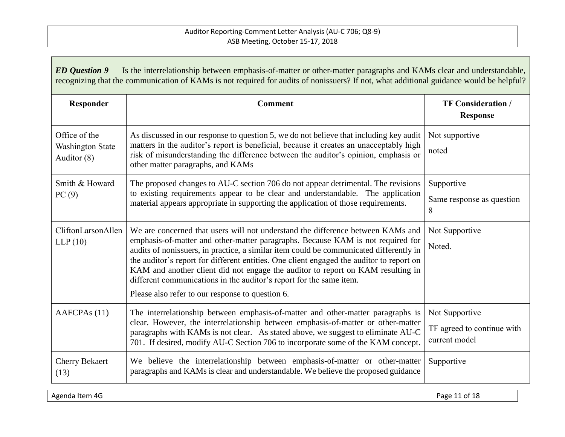| ED Question $9$ — Is the interrelationship between emphasis-of-matter or other-matter paragraphs and KAMs clear and understandable,<br>recognizing that the communication of KAMs is not required for audits of nonissuers? If not, what additional guidance would be helpful? |                                                                                                                                                                                                                                                                                                                                                                                                                                                                                                                                                                        |                                                               |  |
|--------------------------------------------------------------------------------------------------------------------------------------------------------------------------------------------------------------------------------------------------------------------------------|------------------------------------------------------------------------------------------------------------------------------------------------------------------------------------------------------------------------------------------------------------------------------------------------------------------------------------------------------------------------------------------------------------------------------------------------------------------------------------------------------------------------------------------------------------------------|---------------------------------------------------------------|--|
| Responder                                                                                                                                                                                                                                                                      | <b>Comment</b>                                                                                                                                                                                                                                                                                                                                                                                                                                                                                                                                                         | <b>TF Consideration /</b><br><b>Response</b>                  |  |
| Office of the<br><b>Washington State</b><br>Auditor (8)                                                                                                                                                                                                                        | As discussed in our response to question 5, we do not believe that including key audit<br>matters in the auditor's report is beneficial, because it creates an unacceptably high<br>risk of misunderstanding the difference between the auditor's opinion, emphasis or<br>other matter paragraphs, and KAMs                                                                                                                                                                                                                                                            | Not supportive<br>noted                                       |  |
| Smith & Howard<br>PC(9)                                                                                                                                                                                                                                                        | The proposed changes to AU-C section 706 do not appear detrimental. The revisions<br>to existing requirements appear to be clear and understandable. The application<br>material appears appropriate in supporting the application of those requirements.                                                                                                                                                                                                                                                                                                              | Supportive<br>Same response as question<br>8                  |  |
| CliftonLarsonAllen<br>LLP(10)                                                                                                                                                                                                                                                  | We are concerned that users will not understand the difference between KAMs and<br>emphasis-of-matter and other-matter paragraphs. Because KAM is not required for<br>audits of nonissuers, in practice, a similar item could be communicated differently in<br>the auditor's report for different entities. One client engaged the auditor to report on<br>KAM and another client did not engage the auditor to report on KAM resulting in<br>different communications in the auditor's report for the same item.<br>Please also refer to our response to question 6. | Not Supportive<br>Noted.                                      |  |
| AAFCPAs (11)                                                                                                                                                                                                                                                                   | The interrelationship between emphasis-of-matter and other-matter paragraphs is<br>clear. However, the interrelationship between emphasis-of-matter or other-matter<br>paragraphs with KAMs is not clear. As stated above, we suggest to eliminate AU-C<br>701. If desired, modify AU-C Section 706 to incorporate some of the KAM concept.                                                                                                                                                                                                                            | Not Supportive<br>TF agreed to continue with<br>current model |  |
| <b>Cherry Bekaert</b><br>(13)                                                                                                                                                                                                                                                  | We believe the interrelationship between emphasis-of-matter or other-matter<br>paragraphs and KAMs is clear and understandable. We believe the proposed guidance                                                                                                                                                                                                                                                                                                                                                                                                       | Supportive                                                    |  |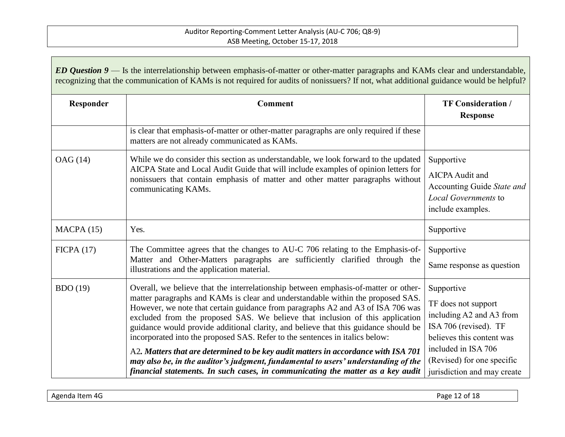| ED Question $9$ — Is the interrelationship between emphasis-of-matter or other-matter paragraphs and KAMs clear and understandable,<br>recognizing that the communication of KAMs is not required for audits of nonissuers? If not, what additional guidance would be helpful? |                                                                                                                                                                                                                                                                                                                                                                                                                                                                                                                                                                                                                                                                                               |                                                                                                                                                                          |  |
|--------------------------------------------------------------------------------------------------------------------------------------------------------------------------------------------------------------------------------------------------------------------------------|-----------------------------------------------------------------------------------------------------------------------------------------------------------------------------------------------------------------------------------------------------------------------------------------------------------------------------------------------------------------------------------------------------------------------------------------------------------------------------------------------------------------------------------------------------------------------------------------------------------------------------------------------------------------------------------------------|--------------------------------------------------------------------------------------------------------------------------------------------------------------------------|--|
| Responder                                                                                                                                                                                                                                                                      | <b>Comment</b>                                                                                                                                                                                                                                                                                                                                                                                                                                                                                                                                                                                                                                                                                | <b>TF Consideration /</b><br><b>Response</b>                                                                                                                             |  |
|                                                                                                                                                                                                                                                                                | is clear that emphasis-of-matter or other-matter paragraphs are only required if these<br>matters are not already communicated as KAMs.                                                                                                                                                                                                                                                                                                                                                                                                                                                                                                                                                       |                                                                                                                                                                          |  |
| <b>OAG</b> (14)                                                                                                                                                                                                                                                                | While we do consider this section as understandable, we look forward to the updated<br>AICPA State and Local Audit Guide that will include examples of opinion letters for<br>nonissuers that contain emphasis of matter and other matter paragraphs without<br>communicating KAMs.                                                                                                                                                                                                                                                                                                                                                                                                           | Supportive<br>AICPA Audit and<br>Accounting Guide State and<br><b>Local Governments to</b><br>include examples.                                                          |  |
| MACPA(15)                                                                                                                                                                                                                                                                      | Yes.                                                                                                                                                                                                                                                                                                                                                                                                                                                                                                                                                                                                                                                                                          | Supportive                                                                                                                                                               |  |
| FICPA(17)                                                                                                                                                                                                                                                                      | The Committee agrees that the changes to AU-C 706 relating to the Emphasis-of-<br>Matter and Other-Matters paragraphs are sufficiently clarified through the<br>illustrations and the application material.                                                                                                                                                                                                                                                                                                                                                                                                                                                                                   | Supportive<br>Same response as question                                                                                                                                  |  |
| BDO(19)                                                                                                                                                                                                                                                                        | Overall, we believe that the interrelationship between emphasis-of-matter or other-<br>matter paragraphs and KAMs is clear and understandable within the proposed SAS.<br>However, we note that certain guidance from paragraphs A2 and A3 of ISA 706 was<br>excluded from the proposed SAS. We believe that inclusion of this application<br>guidance would provide additional clarity, and believe that this guidance should be<br>incorporated into the proposed SAS. Refer to the sentences in italics below:<br>A2. Matters that are determined to be key audit matters in accordance with ISA 701<br>may also be, in the auditor's judgment, fundamental to users' understanding of the | Supportive<br>TF does not support<br>including A2 and A3 from<br>ISA 706 (revised). TF<br>believes this content was<br>included in ISA 706<br>(Revised) for one specific |  |
|                                                                                                                                                                                                                                                                                | financial statements. In such cases, in communicating the matter as a key audit                                                                                                                                                                                                                                                                                                                                                                                                                                                                                                                                                                                                               | jurisdiction and may create                                                                                                                                              |  |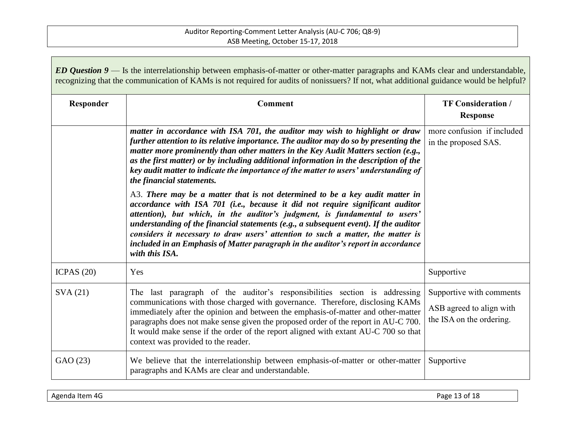| ED Question $9$ — Is the interrelationship between emphasis-of-matter or other-matter paragraphs and KAMs clear and understandable,<br>recognizing that the communication of KAMs is not required for audits of nonissuers? If not, what additional guidance would be helpful? |                                                                                                                                                                                                                                                                                                                                                                                                                                                                                                                               |                                                                                  |  |
|--------------------------------------------------------------------------------------------------------------------------------------------------------------------------------------------------------------------------------------------------------------------------------|-------------------------------------------------------------------------------------------------------------------------------------------------------------------------------------------------------------------------------------------------------------------------------------------------------------------------------------------------------------------------------------------------------------------------------------------------------------------------------------------------------------------------------|----------------------------------------------------------------------------------|--|
| Responder                                                                                                                                                                                                                                                                      | <b>Comment</b>                                                                                                                                                                                                                                                                                                                                                                                                                                                                                                                | <b>TF Consideration /</b><br><b>Response</b>                                     |  |
|                                                                                                                                                                                                                                                                                | matter in accordance with ISA 701, the auditor may wish to highlight or draw<br>further attention to its relative importance. The auditor may do so by presenting the<br>matter more prominently than other matters in the Key Audit Matters section (e.g.,<br>as the first matter) or by including additional information in the description of the<br>key audit matter to indicate the importance of the matter to users' understanding of<br>the financial statements.                                                     | more confusion if included<br>in the proposed SAS.                               |  |
|                                                                                                                                                                                                                                                                                | A3. There may be a matter that is not determined to be a key audit matter in<br>accordance with ISA 701 (i.e., because it did not require significant auditor<br>attention), but which, in the auditor's judgment, is fundamental to users'<br>understanding of the financial statements (e.g., a subsequent event). If the auditor<br>considers it necessary to draw users' attention to such a matter, the matter is<br>included in an Emphasis of Matter paragraph in the auditor's report in accordance<br>with this ISA. |                                                                                  |  |
| ICPAS $(20)$                                                                                                                                                                                                                                                                   | Yes                                                                                                                                                                                                                                                                                                                                                                                                                                                                                                                           | Supportive                                                                       |  |
| SVA(21)                                                                                                                                                                                                                                                                        | The last paragraph of the auditor's responsibilities section is addressing<br>communications with those charged with governance. Therefore, disclosing KAMs<br>immediately after the opinion and between the emphasis-of-matter and other-matter<br>paragraphs does not make sense given the proposed order of the report in AU-C 700.<br>It would make sense if the order of the report aligned with extant AU-C 700 so that<br>context was provided to the reader.                                                          | Supportive with comments<br>ASB agreed to align with<br>the ISA on the ordering. |  |
| GAO (23)                                                                                                                                                                                                                                                                       | We believe that the interrelationship between emphasis-of-matter or other-matter<br>paragraphs and KAMs are clear and understandable.                                                                                                                                                                                                                                                                                                                                                                                         | Supportive                                                                       |  |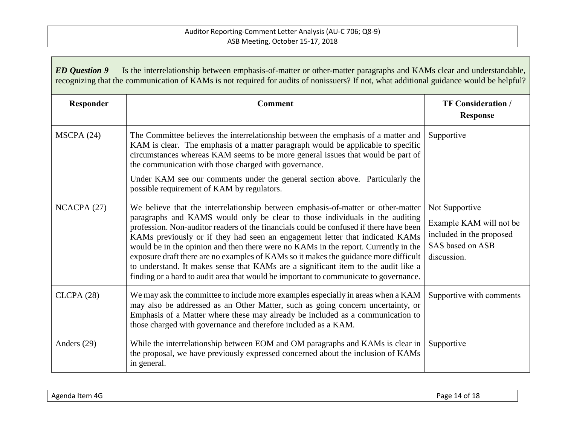| ED Question $9$ — Is the interrelationship between emphasis-of-matter or other-matter paragraphs and KAMs clear and understandable,<br>recognizing that the communication of KAMs is not required for audits of nonissuers? If not, what additional guidance would be helpful? |                                                                                                                                                                                                                                                                                                                                                                                                                                                                                                                                                                                                                                                                                                          |                                                                                                          |  |
|--------------------------------------------------------------------------------------------------------------------------------------------------------------------------------------------------------------------------------------------------------------------------------|----------------------------------------------------------------------------------------------------------------------------------------------------------------------------------------------------------------------------------------------------------------------------------------------------------------------------------------------------------------------------------------------------------------------------------------------------------------------------------------------------------------------------------------------------------------------------------------------------------------------------------------------------------------------------------------------------------|----------------------------------------------------------------------------------------------------------|--|
| Responder                                                                                                                                                                                                                                                                      | <b>Comment</b>                                                                                                                                                                                                                                                                                                                                                                                                                                                                                                                                                                                                                                                                                           | <b>TF Consideration /</b><br><b>Response</b>                                                             |  |
| MSCPA(24)                                                                                                                                                                                                                                                                      | The Committee believes the interrelationship between the emphasis of a matter and<br>KAM is clear. The emphasis of a matter paragraph would be applicable to specific<br>circumstances whereas KAM seems to be more general issues that would be part of<br>the communication with those charged with governance.<br>Under KAM see our comments under the general section above. Particularly the<br>possible requirement of KAM by regulators.                                                                                                                                                                                                                                                          | Supportive                                                                                               |  |
| NCACPA(27)                                                                                                                                                                                                                                                                     | We believe that the interrelationship between emphasis-of-matter or other-matter<br>paragraphs and KAMS would only be clear to those individuals in the auditing<br>profession. Non-auditor readers of the financials could be confused if there have been<br>KAMs previously or if they had seen an engagement letter that indicated KAMs<br>would be in the opinion and then there were no KAMs in the report. Currently in the<br>exposure draft there are no examples of KAMs so it makes the guidance more difficult<br>to understand. It makes sense that KAMs are a significant item to the audit like a<br>finding or a hard to audit area that would be important to communicate to governance. | Not Supportive<br>Example KAM will not be<br>included in the proposed<br>SAS based on ASB<br>discussion. |  |
| CLCPA(28)                                                                                                                                                                                                                                                                      | We may ask the committee to include more examples especially in areas when a KAM<br>may also be addressed as an Other Matter, such as going concern uncertainty, or<br>Emphasis of a Matter where these may already be included as a communication to<br>those charged with governance and therefore included as a KAM.                                                                                                                                                                                                                                                                                                                                                                                  | Supportive with comments                                                                                 |  |
| Anders (29)                                                                                                                                                                                                                                                                    | While the interrelationship between EOM and OM paragraphs and KAMs is clear in<br>the proposal, we have previously expressed concerned about the inclusion of KAMs<br>in general.                                                                                                                                                                                                                                                                                                                                                                                                                                                                                                                        | Supportive                                                                                               |  |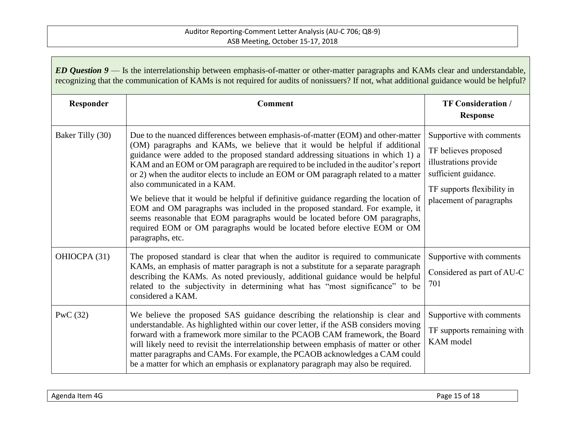| ED Question $9$ — Is the interrelationship between emphasis-of-matter or other-matter paragraphs and KAMs clear and understandable,<br>recognizing that the communication of KAMs is not required for audits of nonissuers? If not, what additional guidance would be helpful? |                                                                                                                                                                                                                                                                                                                                                                                                                                                                                                                                                                                                                                                                                                                                                                                                                        |                                                                                                                                                            |  |
|--------------------------------------------------------------------------------------------------------------------------------------------------------------------------------------------------------------------------------------------------------------------------------|------------------------------------------------------------------------------------------------------------------------------------------------------------------------------------------------------------------------------------------------------------------------------------------------------------------------------------------------------------------------------------------------------------------------------------------------------------------------------------------------------------------------------------------------------------------------------------------------------------------------------------------------------------------------------------------------------------------------------------------------------------------------------------------------------------------------|------------------------------------------------------------------------------------------------------------------------------------------------------------|--|
| Responder                                                                                                                                                                                                                                                                      | <b>Comment</b>                                                                                                                                                                                                                                                                                                                                                                                                                                                                                                                                                                                                                                                                                                                                                                                                         | <b>TF Consideration /</b><br><b>Response</b>                                                                                                               |  |
| Baker Tilly (30)                                                                                                                                                                                                                                                               | Due to the nuanced differences between emphasis-of-matter (EOM) and other-matter<br>(OM) paragraphs and KAMs, we believe that it would be helpful if additional<br>guidance were added to the proposed standard addressing situations in which 1) a<br>KAM and an EOM or OM paragraph are required to be included in the auditor's report<br>or 2) when the auditor elects to include an EOM or OM paragraph related to a matter<br>also communicated in a KAM.<br>We believe that it would be helpful if definitive guidance regarding the location of<br>EOM and OM paragraphs was included in the proposed standard. For example, it<br>seems reasonable that EOM paragraphs would be located before OM paragraphs,<br>required EOM or OM paragraphs would be located before elective EOM or OM<br>paragraphs, etc. | Supportive with comments<br>TF believes proposed<br>illustrations provide<br>sufficient guidance.<br>TF supports flexibility in<br>placement of paragraphs |  |
| OHIOCPA (31)                                                                                                                                                                                                                                                                   | The proposed standard is clear that when the auditor is required to communicate<br>KAMs, an emphasis of matter paragraph is not a substitute for a separate paragraph<br>describing the KAMs. As noted previously, additional guidance would be helpful<br>related to the subjectivity in determining what has "most significance" to be<br>considered a KAM.                                                                                                                                                                                                                                                                                                                                                                                                                                                          | Supportive with comments<br>Considered as part of AU-C<br>701                                                                                              |  |
| PwC $(32)$                                                                                                                                                                                                                                                                     | We believe the proposed SAS guidance describing the relationship is clear and<br>understandable. As highlighted within our cover letter, if the ASB considers moving<br>forward with a framework more similar to the PCAOB CAM framework, the Board<br>will likely need to revisit the interrelationship between emphasis of matter or other<br>matter paragraphs and CAMs. For example, the PCAOB acknowledges a CAM could<br>be a matter for which an emphasis or explanatory paragraph may also be required.                                                                                                                                                                                                                                                                                                        | Supportive with comments<br>TF supports remaining with<br>KAM model                                                                                        |  |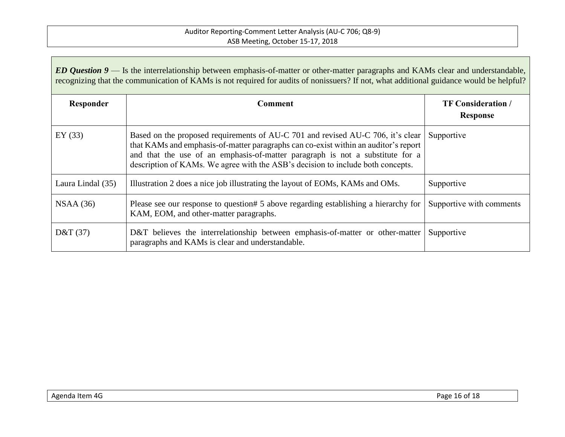| $ED$ Question $9$ — Is the interrelationship between emphasis-of-matter or other-matter paragraphs and KAMs clear and understandable,<br>recognizing that the communication of KAMs is not required for audits of nonissuers? If not, what additional guidance would be helpful? |                                                                                                                                                                                                                                                                                                                                            |                                              |  |
|----------------------------------------------------------------------------------------------------------------------------------------------------------------------------------------------------------------------------------------------------------------------------------|--------------------------------------------------------------------------------------------------------------------------------------------------------------------------------------------------------------------------------------------------------------------------------------------------------------------------------------------|----------------------------------------------|--|
| Responder                                                                                                                                                                                                                                                                        | Comment                                                                                                                                                                                                                                                                                                                                    | <b>TF Consideration /</b><br><b>Response</b> |  |
| EY(33)                                                                                                                                                                                                                                                                           | Based on the proposed requirements of AU-C 701 and revised AU-C 706, it's clear<br>that KAMs and emphasis-of-matter paragraphs can co-exist within an auditor's report<br>and that the use of an emphasis-of-matter paragraph is not a substitute for a<br>description of KAMs. We agree with the ASB's decision to include both concepts. | Supportive                                   |  |
| Laura Lindal (35)                                                                                                                                                                                                                                                                | Illustration 2 does a nice job illustrating the layout of EOMs, KAMs and OMs.                                                                                                                                                                                                                                                              | Supportive                                   |  |
| NSAA(36)                                                                                                                                                                                                                                                                         | Please see our response to question# 5 above regarding establishing a hierarchy for<br>KAM, EOM, and other-matter paragraphs.                                                                                                                                                                                                              | Supportive with comments                     |  |
| D&T $(37)$                                                                                                                                                                                                                                                                       | D&T believes the interrelationship between emphasis-of-matter or other-matter<br>paragraphs and KAMs is clear and understandable.                                                                                                                                                                                                          | Supportive                                   |  |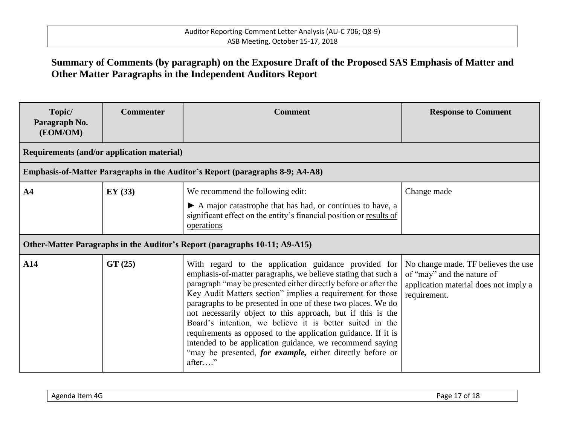# **Summary of Comments (by paragraph) on the Exposure Draft of the Proposed SAS Emphasis of Matter and Other Matter Paragraphs in the Independent Auditors Report**

| Topic/<br>Paragraph No.<br>(EOM/OM)        | <b>Commenter</b> | <b>Comment</b>                                                                                                                                                                                                                                                                                                                                                                                                                                                                                                                                                                                                                                           | <b>Response to Comment</b>                                                                                                 |
|--------------------------------------------|------------------|----------------------------------------------------------------------------------------------------------------------------------------------------------------------------------------------------------------------------------------------------------------------------------------------------------------------------------------------------------------------------------------------------------------------------------------------------------------------------------------------------------------------------------------------------------------------------------------------------------------------------------------------------------|----------------------------------------------------------------------------------------------------------------------------|
| Requirements (and/or application material) |                  |                                                                                                                                                                                                                                                                                                                                                                                                                                                                                                                                                                                                                                                          |                                                                                                                            |
|                                            |                  | Emphasis-of-Matter Paragraphs in the Auditor's Report (paragraphs 8-9; A4-A8)                                                                                                                                                                                                                                                                                                                                                                                                                                                                                                                                                                            |                                                                                                                            |
| A <sub>4</sub>                             | EY(33)           | We recommend the following edit:<br>A major catastrophe that has had, or continues to have, a<br>significant effect on the entity's financial position or results of<br>operations                                                                                                                                                                                                                                                                                                                                                                                                                                                                       | Change made                                                                                                                |
|                                            |                  | Other-Matter Paragraphs in the Auditor's Report (paragraphs 10-11; A9-A15)                                                                                                                                                                                                                                                                                                                                                                                                                                                                                                                                                                               |                                                                                                                            |
| A14                                        | GT(25)           | With regard to the application guidance provided for<br>emphasis-of-matter paragraphs, we believe stating that such a<br>paragraph "may be presented either directly before or after the<br>Key Audit Matters section" implies a requirement for those<br>paragraphs to be presented in one of these two places. We do<br>not necessarily object to this approach, but if this is the<br>Board's intention, we believe it is better suited in the<br>requirements as opposed to the application guidance. If it is<br>intended to be application guidance, we recommend saying<br>"may be presented, for example, either directly before or<br>$after$ " | No change made. TF believes the use<br>of "may" and the nature of<br>application material does not imply a<br>requirement. |